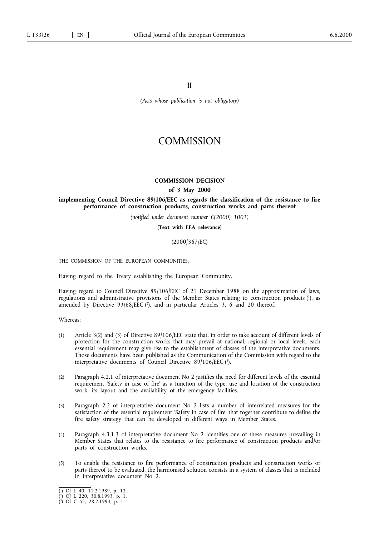II

*(Acts whose publication is not obligatory)*

# **COMMISSION**

## **COMMISSION DECISION**

#### **of 3 May 2000**

**implementing Council Directive 89/106/EEC as regards the classification of the resistance to fire performance of construction products, construction works and parts thereof**

*(notified under document number C(2000) 1001)*

**(Text with EEA relevance)**

## (2000/367/EC)

THE COMMISSION OF THE EUROPEAN COMMUNITIES,

Having regard to the Treaty establishing the European Community,

Having regard to Council Directive 89/106/EEC of 21 December 1988 on the approximation of laws, regulations and administrative provisions of the Member States relating to construction products (1), as amended by Directive  $93/68/EEC$  (2), and in particular Articles 3, 6 and 20 thereof,

#### Whereas:

- (1) Article 3(2) and (3) of Directive 89/106/EEC state that, in order to take account of different levels of protection for the construction works that may prevail at national, regional or local levels, each essential requirement may give rise to the establishment of classes of the interpretative documents. Those documents have been published as the Communication of the Commission with regard to the interpretative documents of Council Directive  $89/106/EEC$  (3).
- (2) Paragraph 4.2.1 of interpretative document No 2 justifies the need for different levels of the essential requirement 'Safety in case of fire' as a function of the type, use and location of the construction work, its layout and the availability of the emergency facilities.
- (3) Paragraph 2.2 of interpretative document No 2 lists a number of interrelated measures for the satisfaction of the essential requirement 'Safety in case of fire' that together contribute to define the fire safety strategy that can be developed in different ways in Member States.
- (4) Paragraph 4.3.1.3 of interpretative document No 2 identifies one of these measures prevailing in Member States that relates to the resistance to fire performance of construction products and/or parts of construction works.
- (5) To enable the resistance to fire performance of construction products and construction works or parts thereof to be evaluated, the harmonised solution consists in a system of classes that is included in interpretative document No 2.

<sup>(</sup> 1) OJ L 40, 11.2.1989, p. 12.

<sup>(</sup> 2) OJ L 220, 30.8.1993, p. 1.

<sup>(</sup> 3) OJ C 62, 28.2.1994, p. 1.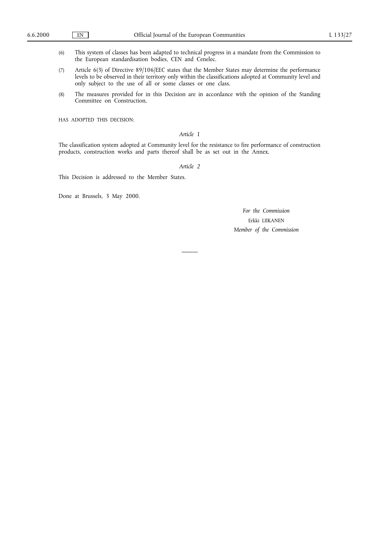- (6) This system of classes has been adapted to technical progress in a mandate from the Commission to the European standardisation bodies, CEN and Cenelec.
- (7) Article 6(3) of Directive 89/106/EEC states that the Member States may determine the performance levels to be observed in their territory only within the classifications adopted at Community level and only subject to the use of all or some classes or one class.
- (8) The measures provided for in this Decision are in accordance with the opinion of the Standing Committee on Construction,

HAS ADOPTED THIS DECISION:

# *Article 1*

The classification system adopted at Community level for the resistance to fire performance of construction products, construction works and parts thereof shall be as set out in the Annex.

#### *Article 2*

This Decision is addressed to the Member States.

Done at Brussels, 3 May 2000.

*For the Commission* Erkki LIIKANEN *Member of the Commission*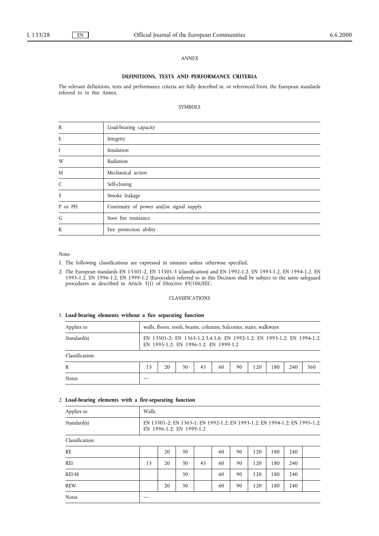#### *ANNEX*

### **DEFINITIONS, TESTS AND PERFORMANCE CRITERIA**

The relevant definitions, tests and performance criteria are fully described in, or referenced from, the European standards referred to in this Annex.

#### SYMBOLS

| Load-bearing capacity                    |
|------------------------------------------|
| Integrity                                |
| Insulation                               |
| Radiation                                |
| Mechanical action                        |
| Self-closing                             |
| Smoke leakage                            |
| Continuity of power and/or signal supply |
| Soot fire resistance                     |
| Fire protection ability                  |
|                                          |

## *Notes*

- 1. The following classifications are expressed in minutes unless otherwise specified.
- 2. The European standards EN 13501-2, EN 13501-3 (classification) and EN 1992-1.2, EN 1993-1.2, EN 1994-1.2, EN 1995-1.2, EN 1996-1.2, EN 1999-1.2 (Eurocodes) referred to in this Decision shall be subject to the same safeguard procedures as described in Article 5(1) of Directive 89/106/EEC.

### CLASSIFICATIONS

#### 1. **Load-bearing elements without a fire separating function**

| Applies to      |    | walls, floors, roofs, beams, columns, balconies, stairs, walkways                                                |    |    |    |    |     |     |     |     |
|-----------------|----|------------------------------------------------------------------------------------------------------------------|----|----|----|----|-----|-----|-----|-----|
| Standard(s)     |    | EN 13501-2; EN 1365-1,2,3,4,5,6; EN 1992-1.2; EN 1993-1.2; EN 1994-1.2;<br>EN 1995-1.2; EN 1996-1.2; EN 1999-1.2 |    |    |    |    |     |     |     |     |
| Classification: |    |                                                                                                                  |    |    |    |    |     |     |     |     |
| R               | 15 | 20                                                                                                               | 30 | 45 | 60 | 90 | 120 | 180 | 240 | 360 |
| <b>Notes</b>    |    |                                                                                                                  |    |    |    |    |     |     |     |     |

## 2. **Load-bearing elements with a fire-separating function**

| Applies to      | Walls                                                                                                  |    |    |    |    |    |     |     |     |  |
|-----------------|--------------------------------------------------------------------------------------------------------|----|----|----|----|----|-----|-----|-----|--|
| Standard(s)     | EN 13501-2; EN 1365-1; EN 1992-1.2; EN 1993-1.2; EN 1994-1.2; EN 1995-1.2;<br>EN 1996-1.2; EN 1999-1.2 |    |    |    |    |    |     |     |     |  |
| Classification: |                                                                                                        |    |    |    |    |    |     |     |     |  |
| RE.             |                                                                                                        | 20 | 30 |    | 60 | 90 | 120 | 180 | 240 |  |
| <b>REI</b>      | 15                                                                                                     | 20 | 30 | 45 | 60 | 90 | 120 | 180 | 240 |  |
| REI-M           |                                                                                                        |    | 30 |    | 60 | 90 | 120 | 180 | 240 |  |
| <b>REW</b>      |                                                                                                        | 20 | 30 |    | 60 | 90 | 120 | 180 | 240 |  |
| <b>Notes</b>    |                                                                                                        |    |    |    |    |    |     |     |     |  |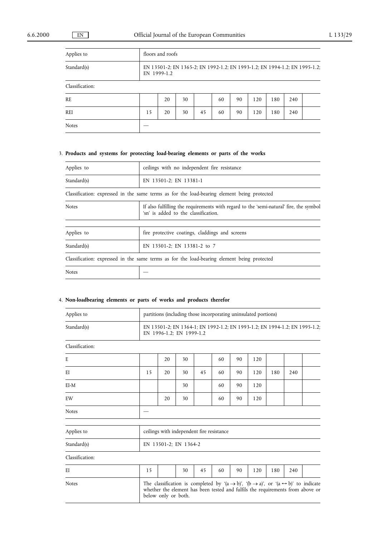| Applies to      |    | floors and roofs                                                                          |    |    |    |    |     |     |     |  |  |
|-----------------|----|-------------------------------------------------------------------------------------------|----|----|----|----|-----|-----|-----|--|--|
| Standard(s)     |    | EN 13501-2; EN 1365-2; EN 1992-1.2; EN 1993-1.2; EN 1994-1.2; EN 1995-1.2;<br>EN 1999-1.2 |    |    |    |    |     |     |     |  |  |
| Classification: |    |                                                                                           |    |    |    |    |     |     |     |  |  |
| <b>RE</b>       |    | 20                                                                                        | 30 |    | 60 | 90 | 120 | 180 | 240 |  |  |
| REI             | 15 | 20                                                                                        | 30 | 45 | 60 | 90 | 120 | 180 | 240 |  |  |
| <b>Notes</b>    |    |                                                                                           |    |    |    |    |     |     |     |  |  |

# 3. **Products and systems for protecting load-bearing elements or parts of the works**

| Applies to   | ceilings with no independent fire resistance                                                                                   |
|--------------|--------------------------------------------------------------------------------------------------------------------------------|
| Standard(s)  | EN 13501-2; EN 13381-1                                                                                                         |
|              | Classification: expressed in the same terms as for the load-bearing element being protected                                    |
| <b>Notes</b> | If also fulfilling the requirements with regard to the 'semi-natural' fire, the symbol<br>'sn' is added to the classification. |
|              |                                                                                                                                |
| Applies to   | fire protective coatings, claddings and screens                                                                                |
| Standard(s)  | EN 13501-2; EN 13381-2 to 7                                                                                                    |
|              | Classification: expressed in the same terms as for the load-bearing element being protected                                    |
| <b>Notes</b> |                                                                                                                                |

## 4. **Non-loadbearing elements or parts of works and products therefor**

| Applies to      |    | partitions (including those incorporating uninsulated portions)                                                                                                                                                                    |                       |                                           |    |    |     |     |     |  |  |
|-----------------|----|------------------------------------------------------------------------------------------------------------------------------------------------------------------------------------------------------------------------------------|-----------------------|-------------------------------------------|----|----|-----|-----|-----|--|--|
| Standard(s)     |    | EN 13501-2; EN 1364-1; EN 1992-1.2; EN 1993-1.2; EN 1994-1.2; EN 1995-1.2;<br>EN 1996-1.2; EN 1999-1.2                                                                                                                             |                       |                                           |    |    |     |     |     |  |  |
| Classification: |    |                                                                                                                                                                                                                                    |                       |                                           |    |    |     |     |     |  |  |
| E               |    | 20                                                                                                                                                                                                                                 | 30                    |                                           | 60 | 90 | 120 |     |     |  |  |
| E1              | 15 | 20                                                                                                                                                                                                                                 | 30                    | 45                                        | 60 | 90 | 120 | 180 | 240 |  |  |
| EI-M            |    |                                                                                                                                                                                                                                    | 30                    |                                           | 60 | 90 | 120 |     |     |  |  |
| EW              |    | 20                                                                                                                                                                                                                                 | 30                    |                                           | 60 | 90 | 120 |     |     |  |  |
| <b>Notes</b>    |    |                                                                                                                                                                                                                                    |                       |                                           |    |    |     |     |     |  |  |
| Applies to      |    |                                                                                                                                                                                                                                    |                       | ceilings with independent fire resistance |    |    |     |     |     |  |  |
| Standard(s)     |    |                                                                                                                                                                                                                                    | EN 13501-2; EN 1364-2 |                                           |    |    |     |     |     |  |  |
| Classification: |    |                                                                                                                                                                                                                                    |                       |                                           |    |    |     |     |     |  |  |
| EI              | 15 |                                                                                                                                                                                                                                    | 30                    | 45                                        | 60 | 90 | 120 | 180 | 240 |  |  |
| <b>Notes</b>    |    | The classification is completed by '(a $\rightarrow$ b)', '(b $\rightarrow$ a)', or '(a $\leftrightarrow$ b)' to indicate<br>whether the element has been tested and fulfils the requirements from above or<br>below only or both. |                       |                                           |    |    |     |     |     |  |  |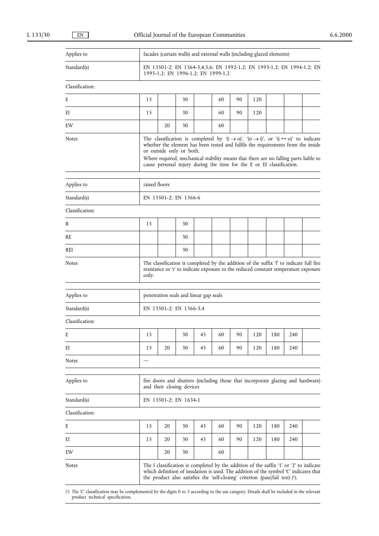| Applies to      |               | facades (curtain walls) and external walls (including glazed elements)                                                                                                                                                                                                                                                                                                                                           |                           |                                                                               |    |    |     |     |     |                                                                                                                                                                                 |  |
|-----------------|---------------|------------------------------------------------------------------------------------------------------------------------------------------------------------------------------------------------------------------------------------------------------------------------------------------------------------------------------------------------------------------------------------------------------------------|---------------------------|-------------------------------------------------------------------------------|----|----|-----|-----|-----|---------------------------------------------------------------------------------------------------------------------------------------------------------------------------------|--|
| Standard(s)     |               |                                                                                                                                                                                                                                                                                                                                                                                                                  |                           | 1995-1.2; EN 1996-1.2; EN 1999-1.2                                            |    |    |     |     |     | EN 13501-2; EN 1364-3,4,5,6; EN 1992-1.2; EN 1993-1.2; EN 1994-1.2; EN                                                                                                          |  |
| Classification: |               |                                                                                                                                                                                                                                                                                                                                                                                                                  |                           |                                                                               |    |    |     |     |     |                                                                                                                                                                                 |  |
| E               | 15            |                                                                                                                                                                                                                                                                                                                                                                                                                  | 30                        |                                                                               | 60 | 90 | 120 |     |     |                                                                                                                                                                                 |  |
| EI              | 15            |                                                                                                                                                                                                                                                                                                                                                                                                                  | 30                        |                                                                               | 60 | 90 | 120 |     |     |                                                                                                                                                                                 |  |
| EW              |               | 20                                                                                                                                                                                                                                                                                                                                                                                                               | 30                        |                                                                               | 60 |    |     |     |     |                                                                                                                                                                                 |  |
| <b>Notes</b>    |               | The classification is completed by '( $i \rightarrow o$ )', '( $o \rightarrow i$ )', or '( $i \leftrightarrow o$ )' to indicate<br>whether the element has been tested and fulfils the requirements from the inside<br>or outside only or both.<br>Where required, mechanical stability means that there are no falling parts liable to<br>cause personal injury during the time for the E or EI classification. |                           |                                                                               |    |    |     |     |     |                                                                                                                                                                                 |  |
| Applies to      | raised floors |                                                                                                                                                                                                                                                                                                                                                                                                                  |                           |                                                                               |    |    |     |     |     |                                                                                                                                                                                 |  |
| Standard(s)     |               | EN 13501-2; EN 1366-6                                                                                                                                                                                                                                                                                                                                                                                            |                           |                                                                               |    |    |     |     |     |                                                                                                                                                                                 |  |
| Classification: |               |                                                                                                                                                                                                                                                                                                                                                                                                                  |                           |                                                                               |    |    |     |     |     |                                                                                                                                                                                 |  |
| R               | 15            |                                                                                                                                                                                                                                                                                                                                                                                                                  | 30                        |                                                                               |    |    |     |     |     |                                                                                                                                                                                 |  |
| RE              |               |                                                                                                                                                                                                                                                                                                                                                                                                                  | 30                        |                                                                               |    |    |     |     |     |                                                                                                                                                                                 |  |
| REI             |               |                                                                                                                                                                                                                                                                                                                                                                                                                  | 30                        |                                                                               |    |    |     |     |     |                                                                                                                                                                                 |  |
| <b>Notes</b>    | only.         | The classification is completed by the addition of the suffix 'f' to indicate full fire<br>resistance or 'r' to indicate exposure to the reduced constant temperature exposure                                                                                                                                                                                                                                   |                           |                                                                               |    |    |     |     |     |                                                                                                                                                                                 |  |
| Applies to      |               |                                                                                                                                                                                                                                                                                                                                                                                                                  |                           | penetration seals and linear gap seals                                        |    |    |     |     |     |                                                                                                                                                                                 |  |
| Standard(s)     |               |                                                                                                                                                                                                                                                                                                                                                                                                                  | EN 13501-2; EN 1366-3,4   |                                                                               |    |    |     |     |     |                                                                                                                                                                                 |  |
| Classification: |               |                                                                                                                                                                                                                                                                                                                                                                                                                  |                           |                                                                               |    |    |     |     |     |                                                                                                                                                                                 |  |
| E               | 15            |                                                                                                                                                                                                                                                                                                                                                                                                                  | 30                        | 45                                                                            | 60 | 90 | 120 | 180 | 240 |                                                                                                                                                                                 |  |
| EI              | 15            | 20                                                                                                                                                                                                                                                                                                                                                                                                               | 30                        | 45                                                                            | 60 | 90 | 120 | 180 | 240 |                                                                                                                                                                                 |  |
| <b>Notes</b>    |               |                                                                                                                                                                                                                                                                                                                                                                                                                  |                           |                                                                               |    |    |     |     |     |                                                                                                                                                                                 |  |
| Applies to      |               |                                                                                                                                                                                                                                                                                                                                                                                                                  | and their closing devices |                                                                               |    |    |     |     |     | fire doors and shutters (including those that incorporate glazing and hardware)                                                                                                 |  |
| Standard(s)     |               |                                                                                                                                                                                                                                                                                                                                                                                                                  | EN 13501-2; EN 1634-1     |                                                                               |    |    |     |     |     |                                                                                                                                                                                 |  |
| Classification: |               |                                                                                                                                                                                                                                                                                                                                                                                                                  |                           |                                                                               |    |    |     |     |     |                                                                                                                                                                                 |  |
| E               | 15            | 20                                                                                                                                                                                                                                                                                                                                                                                                               | 30                        | 45                                                                            | 60 | 90 | 120 | 180 | 240 |                                                                                                                                                                                 |  |
| EI              | 15            | 20                                                                                                                                                                                                                                                                                                                                                                                                               | 30                        | 45                                                                            | 60 | 90 | 120 | 180 | 240 |                                                                                                                                                                                 |  |
| EW              |               | 20                                                                                                                                                                                                                                                                                                                                                                                                               | 30                        |                                                                               | 60 |    |     |     |     |                                                                                                                                                                                 |  |
| Notes           |               |                                                                                                                                                                                                                                                                                                                                                                                                                  |                           | the product also satisfies the 'self-closing' criterion (pass/fail test) (1). |    |    |     |     |     | The I classification is completed by the addition of the suffix '1' or '2' to indicate<br>which definition of insulation is used. The addition of the symbol 'C' indicates that |  |

( 1) The 'C' classification may be complemented by the digits 0 to 5 according to the use category. Details shall be included in the relevant product technical specification.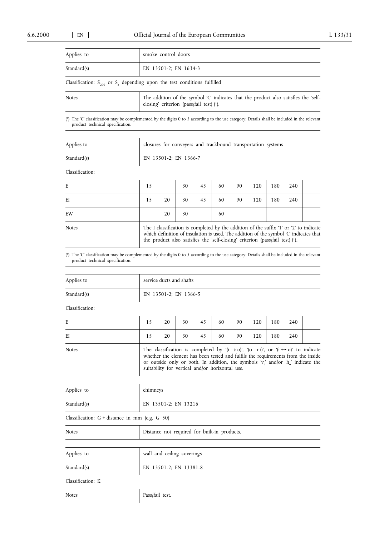| Applies to                                                                                               | smoke control doors |  |  |  |  |  |  |  |  |  |
|----------------------------------------------------------------------------------------------------------|---------------------|--|--|--|--|--|--|--|--|--|
| Standard(s)                                                                                              |                     |  |  |  |  |  |  |  |  |  |
| EN 13501-2; EN 1634-3<br>Classification: $S_{200}$ or $S_a$ depending upon the test conditions fulfilled |                     |  |  |  |  |  |  |  |  |  |
| $\sim$ $\sim$                                                                                            | $-1$                |  |  |  |  |  |  |  |  |  |

| Notes | The addition of the symbol 'C' indicates that the product also satisfies the 'self- |
|-------|-------------------------------------------------------------------------------------|
|       | closing' criterion (pass/fail test) $(1)$ .                                         |
|       |                                                                                     |

( 1) The 'C' classification may be complemented by the digits 0 to 5 according to the use category. Details shall be included in the relevant product technical specification.

| Applies to  | closures for conveyers and trackbound transportation systems |
|-------------|--------------------------------------------------------------|
| Standard(s) | EN 13501-2; EN 1366-7                                        |

Classification:

| E            | 15 |    | 30 | 45 | 60 | 90                                                                            | 120 | 180 | 240 |                                                                                                                                                                                 |
|--------------|----|----|----|----|----|-------------------------------------------------------------------------------|-----|-----|-----|---------------------------------------------------------------------------------------------------------------------------------------------------------------------------------|
| ΕI           | 15 | 20 | 30 | 45 | 60 | 90                                                                            | 120 | 180 | 240 |                                                                                                                                                                                 |
| EW           |    | 20 | 30 |    | 60 |                                                                               |     |     |     |                                                                                                                                                                                 |
| <b>Notes</b> |    |    |    |    |    | the product also satisfies the 'self-closing' criterion (pass/fail test) (1). |     |     |     | The I classification is completed by the addition of the suffix '1' or '2' to indicate<br>which definition of insulation is used. The addition of the symbol 'C' indicates that |

( 1) The 'C' classification may be complemented by the digits 0 to 5 according to the use category. Details shall be included in the relevant product technical specification.

| Applies to                                     | service ducts and shafts                                                                                                                                                                                                                                                                                                                                                            |    |                                              |    |    |    |     |     |     |  |  |
|------------------------------------------------|-------------------------------------------------------------------------------------------------------------------------------------------------------------------------------------------------------------------------------------------------------------------------------------------------------------------------------------------------------------------------------------|----|----------------------------------------------|----|----|----|-----|-----|-----|--|--|
| Standard(s)                                    | EN 13501-2; EN 1366-5                                                                                                                                                                                                                                                                                                                                                               |    |                                              |    |    |    |     |     |     |  |  |
| Classification:                                |                                                                                                                                                                                                                                                                                                                                                                                     |    |                                              |    |    |    |     |     |     |  |  |
| E                                              | 15                                                                                                                                                                                                                                                                                                                                                                                  | 20 | 30                                           | 45 | 60 | 90 | 120 | 180 | 240 |  |  |
| ΕI                                             | 15                                                                                                                                                                                                                                                                                                                                                                                  | 20 | 30                                           | 45 | 60 | 90 | 120 | 180 | 240 |  |  |
| Notes                                          | The classification is completed by '( $i \rightarrow o$ )', '( $o \rightarrow i$ )', or '( $i \leftrightarrow o$ )' to indicate<br>whether the element has been tested and fulfils the requirements from the inside<br>or outside only or both. In addition, the symbols 'v <sub>e</sub> ' and/or 'h <sub>o</sub> ' indicate the<br>suitability for vertical and/or horizontal use. |    |                                              |    |    |    |     |     |     |  |  |
| Applies to                                     | chimneys                                                                                                                                                                                                                                                                                                                                                                            |    |                                              |    |    |    |     |     |     |  |  |
| Standard(s)                                    |                                                                                                                                                                                                                                                                                                                                                                                     |    | EN 13501-2; EN 13216                         |    |    |    |     |     |     |  |  |
| Classification: G + distance in mm (e.g. G 50) |                                                                                                                                                                                                                                                                                                                                                                                     |    |                                              |    |    |    |     |     |     |  |  |
| <b>Notes</b>                                   |                                                                                                                                                                                                                                                                                                                                                                                     |    | Distance not required for built-in products. |    |    |    |     |     |     |  |  |
| Applies to                                     |                                                                                                                                                                                                                                                                                                                                                                                     |    | wall and ceiling coverings                   |    |    |    |     |     |     |  |  |

|                   | $\ldots$ $\ldots$ $\ldots$ $\ldots$ $\ldots$ $\ldots$ |
|-------------------|-------------------------------------------------------|
| Standard(s)       | EN 13501-2; EN 13381-8                                |
| Classification: K |                                                       |
| <b>Notes</b>      | Pass/fail test.                                       |

| vote: |  |
|-------|--|
|       |  |